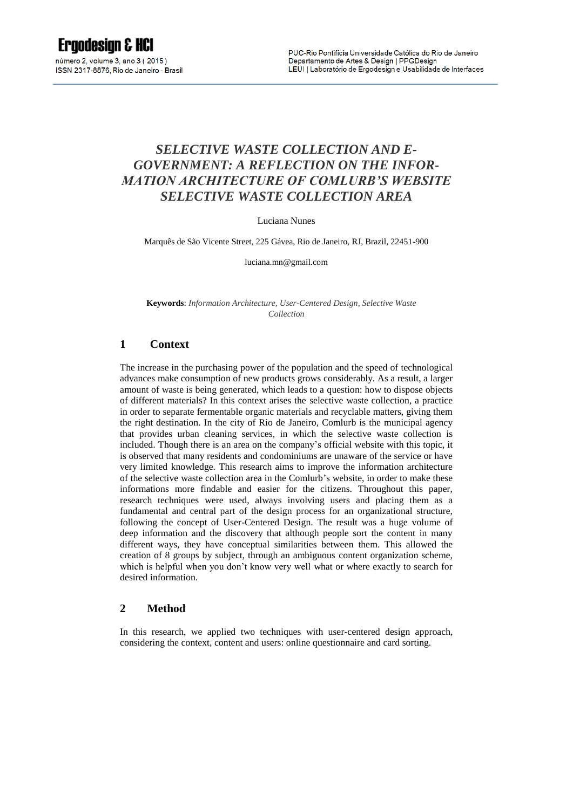# **Ergodesian & HCI**

número 2, volume 3, ano 3 (2015) ISSN 2317-8876, Rio de Janeiro - Brasil

# *SELECTIVE WASTE COLLECTION AND E-GOVERNMENT: A REFLECTION ON THE INFOR-MATION ARCHITECTURE OF COMLURB'S WEBSITE SELECTIVE WASTE COLLECTION AREA*

Luciana Nunes

Marquês de São Vicente Street, 225 Gávea, Rio de Janeiro, RJ, Brazil, 22451-900

luciana.mn@gmail.com

**Keywords**: *Information Architecture, User-Centered Design, Selective Waste Collection*

# **1 Context**

The increase in the purchasing power of the population and the speed of technological advances make consumption of new products grows considerably. As a result, a larger amount of waste is being generated, which leads to a question: how to dispose objects of different materials? In this context arises the selective waste collection, a practice in order to separate fermentable organic materials and recyclable matters, giving them the right destination. In the city of Rio de Janeiro, Comlurb is the municipal agency that provides urban cleaning services, in which the selective waste collection is included. Though there is an area on the company's official website with this topic, it is observed that many residents and condominiums are unaware of the service or have very limited knowledge. This research aims to improve the information architecture of the selective waste collection area in the Comlurb's website, in order to make these informations more findable and easier for the citizens. Throughout this paper, research techniques were used, always involving users and placing them as a fundamental and central part of the design process for an organizational structure, following the concept of User-Centered Design. The result was a huge volume of deep information and the discovery that although people sort the content in many different ways, they have conceptual similarities between them. This allowed the creation of 8 groups by subject, through an ambiguous content organization scheme, which is helpful when you don't know very well what or where exactly to search for desired information.

#### **2 Method**

In this research, we applied two techniques with user-centered design approach, considering the context, content and users: online questionnaire and card sorting.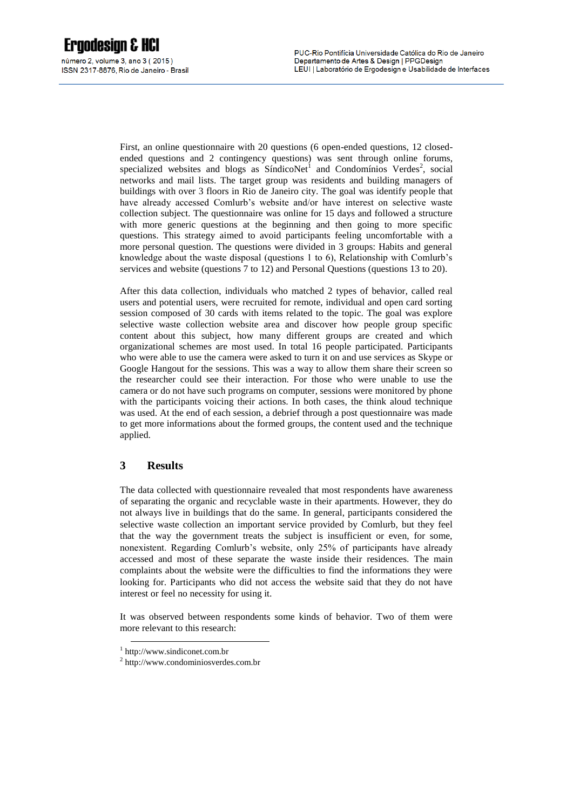First, an online questionnaire with 20 questions (6 open-ended questions, 12 closedended questions and 2 contingency questions) was sent through online forums, specialized websites and blogs as SíndicoNet<sup>1</sup> and Condomínios Verdes<sup>2</sup>, social networks and mail lists. The target group was residents and building managers of buildings with over 3 floors in Rio de Janeiro city. The goal was identify people that have already accessed Comlurb's website and/or have interest on selective waste collection subject. The questionnaire was online for 15 days and followed a structure with more generic questions at the beginning and then going to more specific questions. This strategy aimed to avoid participants feeling uncomfortable with a more personal question. The questions were divided in 3 groups: Habits and general knowledge about the waste disposal (questions 1 to 6), Relationship with Comlurb's services and website (questions 7 to 12) and Personal Questions (questions 13 to 20).

After this data collection, individuals who matched 2 types of behavior, called real users and potential users, were recruited for remote, individual and open card sorting session composed of 30 cards with items related to the topic. The goal was explore selective waste collection website area and discover how people group specific content about this subject, how many different groups are created and which organizational schemes are most used. In total 16 people participated. Participants who were able to use the camera were asked to turn it on and use services as Skype or Google Hangout for the sessions. This was a way to allow them share their screen so the researcher could see their interaction. For those who were unable to use the camera or do not have such programs on computer, sessions were monitored by phone with the participants voicing their actions. In both cases, the think aloud technique was used. At the end of each session, a debrief through a post questionnaire was made to get more informations about the formed groups, the content used and the technique applied.

# **3 Results**

The data collected with questionnaire revealed that most respondents have awareness of separating the organic and recyclable waste in their apartments. However, they do not always live in buildings that do the same. In general, participants considered the selective waste collection an important service provided by Comlurb, but they feel that the way the government treats the subject is insufficient or even, for some, nonexistent. Regarding Comlurb's website, only 25% of participants have already accessed and most of these separate the waste inside their residences. The main complaints about the website were the difficulties to find the informations they were looking for. Participants who did not access the website said that they do not have interest or feel no necessity for using it.

It was observed between respondents some kinds of behavior. Two of them were more relevant to this research:

1

<sup>1</sup> http://www.sindiconet.com.br

<sup>2</sup> http://www.condominiosverdes.com.br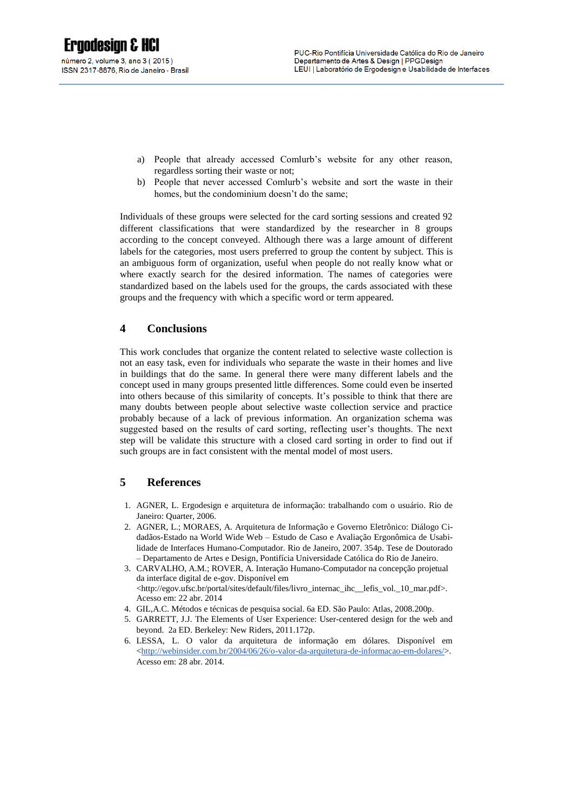- a) People that already accessed Comlurb's website for any other reason, regardless sorting their waste or not;
- b) People that never accessed Comlurb's website and sort the waste in their homes, but the condominium doesn't do the same;

Individuals of these groups were selected for the card sorting sessions and created 92 different classifications that were standardized by the researcher in 8 groups according to the concept conveyed. Although there was a large amount of different labels for the categories, most users preferred to group the content by subject. This is an ambiguous form of organization, useful when people do not really know what or where exactly search for the desired information. The names of categories were standardized based on the labels used for the groups, the cards associated with these groups and the frequency with which a specific word or term appeared.

#### **4 Conclusions**

This work concludes that organize the content related to selective waste collection is not an easy task, even for individuals who separate the waste in their homes and live in buildings that do the same. In general there were many different labels and the concept used in many groups presented little differences. Some could even be inserted into others because of this similarity of concepts. It's possible to think that there are many doubts between people about selective waste collection service and practice probably because of a lack of previous information. An organization schema was suggested based on the results of card sorting, reflecting user's thoughts. The next step will be validate this structure with a closed card sorting in order to find out if such groups are in fact consistent with the mental model of most users.

# **5 References**

- 1. AGNER, L. Ergodesign e arquitetura de informação: trabalhando com o usuário. Rio de Janeiro: Quarter, 2006.
- 2. AGNER, L.; MORAES, A. Arquitetura de Informação e Governo Eletrônico: Diálogo Cidadãos-Estado na World Wide Web – Estudo de Caso e Avaliação Ergonômica de Usabilidade de Interfaces Humano-Computador. Rio de Janeiro, 2007. 354p. Tese de Doutorado – Departamento de Artes e Design, Pontifícia Universidade Católica do Rio de Janeiro.
- 3. CARVALHO, A.M.; ROVER, A. Interação Humano-Computador na concepção projetual da interface digital de e-gov. Disponível em [<http://egov.ufsc.br/portal/sites/default/files/livro\\_internac\\_ihc\\_\\_lefis\\_vol.\\_10\\_mar.pdf>](http://egov.ufsc.br/portal/sites/default/files/livro_internac_ihc__lefis_vol._10_mar.pdf). Acesso em: 22 abr. 2014
- 4. GIL,A.C. Métodos e técnicas de pesquisa social. 6a ED. São Paulo: Atlas, 2008.200p.
- 5. GARRETT, J.J. The Elements of User Experience: User-centered design for the web and beyond. 2a ED. Berkeley: New Riders, 2011.172p.
- 6. LESSA, L. O valor da arquitetura de informação em dólares. Disponível em [<http://webinsider.com.br/2004/06/26/o-valor-da-arquitetura-de-informacao-em-dolares/>](http://webinsider.com.br/2004/06/26/o-valor-da-arquitetura-de-informacao-em-dolares/). Acesso em: 28 abr. 2014.